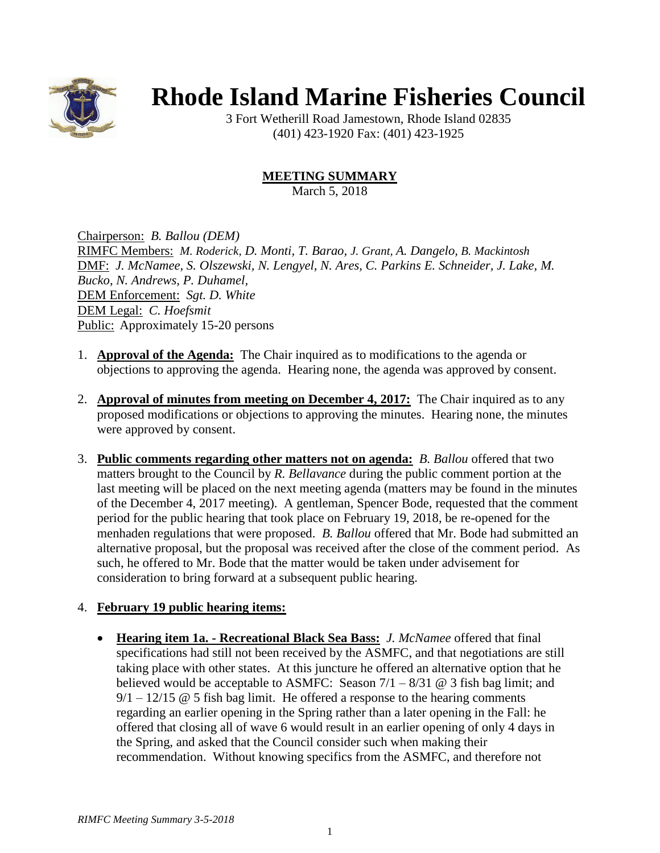

## **Rhode Island Marine Fisheries Council**

3 Fort Wetherill Road Jamestown, Rhode Island 02835 (401) 423-1920 Fax: (401) 423-1925

## **MEETING SUMMARY**

March 5, 2018

Chairperson: *B. Ballou (DEM)* RIMFC Members: *M. Roderick, D. Monti, T. Barao, J. Grant, A. Dangelo, B. Mackintosh* DMF: *J. McNamee, S. Olszewski, N. Lengyel, N. Ares, C. Parkins E. Schneider, J. Lake, M. Bucko, N. Andrews, P. Duhamel,*  DEM Enforcement: *Sgt. D. White* DEM Legal: *C. Hoefsmit* Public: Approximately 15-20 persons

- 1. **Approval of the Agenda:** The Chair inquired as to modifications to the agenda or objections to approving the agenda. Hearing none, the agenda was approved by consent.
- 2. **Approval of minutes from meeting on December 4, 2017:** The Chair inquired as to any proposed modifications or objections to approving the minutes. Hearing none, the minutes were approved by consent.
- 3. **Public comments regarding other matters not on agenda:** *B. Ballou* offered that two matters brought to the Council by *R. Bellavance* during the public comment portion at the last meeting will be placed on the next meeting agenda (matters may be found in the minutes of the December 4, 2017 meeting). A gentleman, Spencer Bode, requested that the comment period for the public hearing that took place on February 19, 2018, be re-opened for the menhaden regulations that were proposed. *B. Ballou* offered that Mr. Bode had submitted an alternative proposal, but the proposal was received after the close of the comment period. As such, he offered to Mr. Bode that the matter would be taken under advisement for consideration to bring forward at a subsequent public hearing.

## 4. **February 19 public hearing items:**

• **Hearing item 1a. - Recreational Black Sea Bass:** *J. McNamee* offered that final specifications had still not been received by the ASMFC, and that negotiations are still taking place with other states. At this juncture he offered an alternative option that he believed would be acceptable to ASMFC: Season  $7/1 - 8/31$  @ 3 fish bag limit; and  $9/1 - 12/15 \t{O} 5$  fish bag limit. He offered a response to the hearing comments regarding an earlier opening in the Spring rather than a later opening in the Fall: he offered that closing all of wave 6 would result in an earlier opening of only 4 days in the Spring, and asked that the Council consider such when making their recommendation. Without knowing specifics from the ASMFC, and therefore not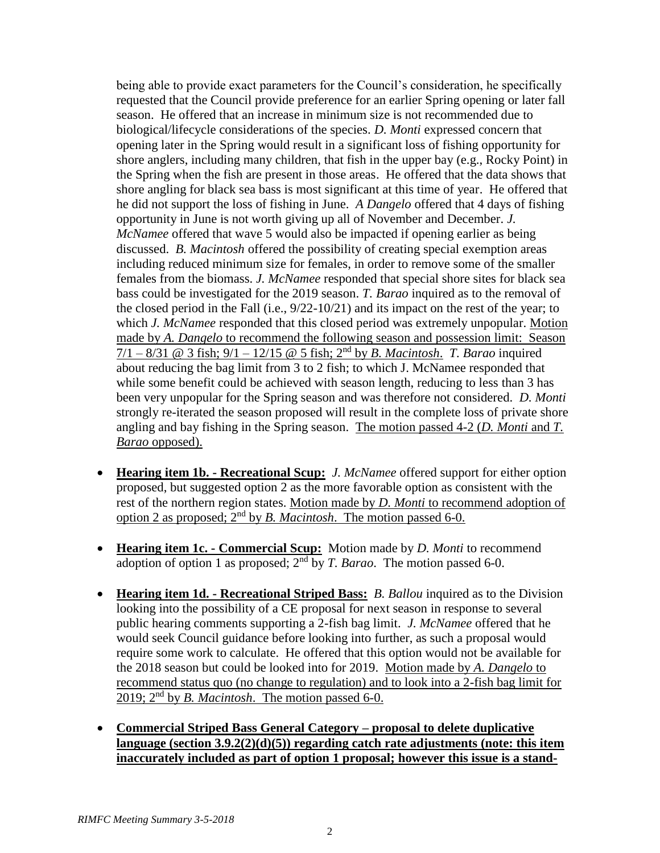being able to provide exact parameters for the Council's consideration, he specifically requested that the Council provide preference for an earlier Spring opening or later fall season. He offered that an increase in minimum size is not recommended due to biological/lifecycle considerations of the species. *D. Monti* expressed concern that opening later in the Spring would result in a significant loss of fishing opportunity for shore anglers, including many children, that fish in the upper bay (e.g., Rocky Point) in the Spring when the fish are present in those areas. He offered that the data shows that shore angling for black sea bass is most significant at this time of year. He offered that he did not support the loss of fishing in June. *A Dangelo* offered that 4 days of fishing opportunity in June is not worth giving up all of November and December. *J. McNamee* offered that wave 5 would also be impacted if opening earlier as being discussed. *B. Macintosh* offered the possibility of creating special exemption areas including reduced minimum size for females, in order to remove some of the smaller females from the biomass. *J. McNamee* responded that special shore sites for black sea bass could be investigated for the 2019 season. *T. Barao* inquired as to the removal of the closed period in the Fall (i.e., 9/22-10/21) and its impact on the rest of the year; to which *J. McNamee* responded that this closed period was extremely unpopular. Motion made by *A. Dangelo* to recommend the following season and possession limit: Season 7/1 – 8/31 @ 3 fish; 9/1 – 12/15 @ 5 fish; 2nd by *B. Macintosh*.*T. Barao* inquired about reducing the bag limit from 3 to 2 fish; to which J. McNamee responded that while some benefit could be achieved with season length, reducing to less than 3 has been very unpopular for the Spring season and was therefore not considered. *D. Monti* strongly re-iterated the season proposed will result in the complete loss of private shore angling and bay fishing in the Spring season. The motion passed 4-2 (*D. Monti* and *T. Barao* opposed).

- **Hearing item 1b. - Recreational Scup:** *J. McNamee* offered support for either option proposed, but suggested option 2 as the more favorable option as consistent with the rest of the northern region states. Motion made by *D. Monti* to recommend adoption of option 2 as proposed; 2nd by *B. Macintosh*. The motion passed 6-0.
- **Hearing item 1c. - Commercial Scup:** Motion made by *D. Monti* to recommend adoption of option 1 as proposed;  $2<sup>nd</sup>$  by *T. Barao*. The motion passed 6-0.
- **Hearing item 1d. - Recreational Striped Bass:** *B. Ballou* inquired as to the Division looking into the possibility of a CE proposal for next season in response to several public hearing comments supporting a 2-fish bag limit. *J. McNamee* offered that he would seek Council guidance before looking into further, as such a proposal would require some work to calculate. He offered that this option would not be available for the 2018 season but could be looked into for 2019. Motion made by *A. Dangelo* to recommend status quo (no change to regulation) and to look into a 2-fish bag limit for 2019;  $2<sup>nd</sup>$  by *B. Macintosh.* The motion passed 6-0.
- **Commercial Striped Bass General Category – proposal to delete duplicative language (section 3.9.2(2)(d)(5)) regarding catch rate adjustments (note: this item inaccurately included as part of option 1 proposal; however this issue is a stand-**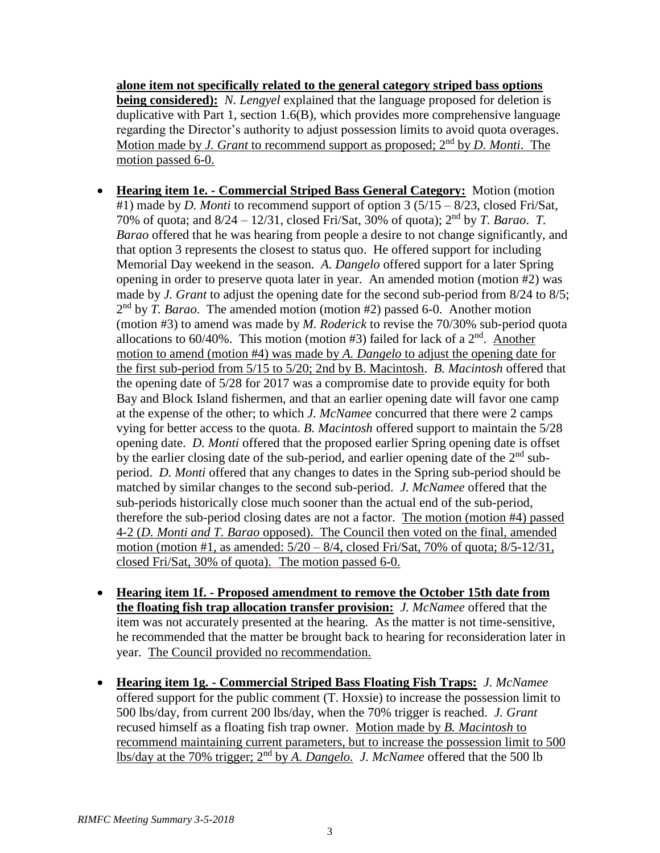**alone item not specifically related to the general category striped bass options being considered):** *N. Lengyel* explained that the language proposed for deletion is duplicative with Part 1, section 1.6(B), which provides more comprehensive language regarding the Director's authority to adjust possession limits to avoid quota overages. Motion made by *J. Grant* to recommend support as proposed; 2<sup>nd</sup> by *D. Monti*. The motion passed 6-0.

- **Hearing item 1e. - Commercial Striped Bass General Category:** Motion (motion #1) made by *D. Monti* to recommend support of option 3 (5/15 – 8/23, closed Fri/Sat, 70% of quota; and 8/24 – 12/31, closed Fri/Sat, 30% of quota); 2nd by *T. Barao*. *T. Barao* offered that he was hearing from people a desire to not change significantly, and that option 3 represents the closest to status quo. He offered support for including Memorial Day weekend in the season. *A. Dangelo* offered support for a later Spring opening in order to preserve quota later in year. An amended motion (motion #2) was made by *J. Grant* to adjust the opening date for the second sub-period from 8/24 to 8/5; 2<sup>nd</sup> by *T. Barao*. The amended motion (motion #2) passed 6-0. Another motion (motion #3) to amend was made by *M. Roderick* to revise the 70/30% sub-period quota allocations to 60/40%. This motion (motion #3) failed for lack of a 2<sup>nd</sup>. Another motion to amend (motion #4) was made by *A. Dangelo* to adjust the opening date for the first sub-period from 5/15 to 5/20; 2nd by B. Macintosh. *B. Macintosh* offered that the opening date of 5/28 for 2017 was a compromise date to provide equity for both Bay and Block Island fishermen, and that an earlier opening date will favor one camp at the expense of the other; to which *J. McNamee* concurred that there were 2 camps vying for better access to the quota. *B. Macintosh* offered support to maintain the 5/28 opening date. *D. Monti* offered that the proposed earlier Spring opening date is offset by the earlier closing date of the sub-period, and earlier opening date of the  $2<sup>nd</sup>$  subperiod. *D. Monti* offered that any changes to dates in the Spring sub-period should be matched by similar changes to the second sub-period. *J. McNamee* offered that the sub-periods historically close much sooner than the actual end of the sub-period, therefore the sub-period closing dates are not a factor. The motion (motion #4) passed 4-2 (*D. Monti and T. Barao* opposed). The Council then voted on the final, amended motion (motion #1, as amended: 5/20 – 8/4, closed Fri/Sat, 70% of quota; 8/5-12/31, closed Fri/Sat, 30% of quota).The motion passed 6-0.
- **Hearing item 1f. - Proposed amendment to remove the October 15th date from the floating fish trap allocation transfer provision:** *J. McNamee* offered that the item was not accurately presented at the hearing. As the matter is not time-sensitive, he recommended that the matter be brought back to hearing for reconsideration later in year. The Council provided no recommendation.
- **Hearing item 1g. - Commercial Striped Bass Floating Fish Traps:** *J. McNamee* offered support for the public comment (T. Hoxsie) to increase the possession limit to 500 lbs/day, from current 200 lbs/day, when the 70% trigger is reached. *J. Grant* recused himself as a floating fish trap owner. Motion made by *B. Macintosh* to recommend maintaining current parameters, but to increase the possession limit to 500 lbs/day at the 70% trigger; 2nd by *A. Dangelo.**J. McNamee* offered that the 500 lb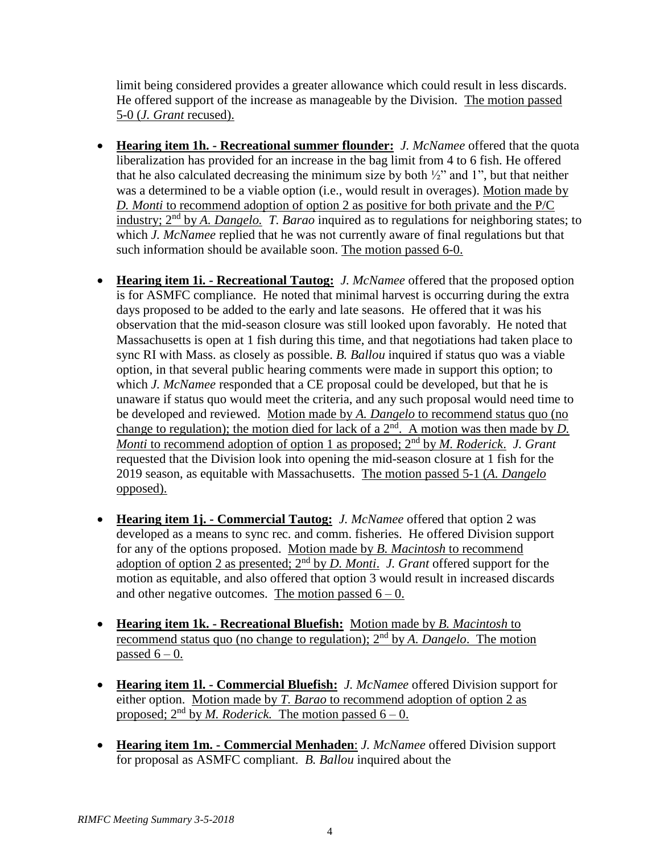limit being considered provides a greater allowance which could result in less discards. He offered support of the increase as manageable by the Division. The motion passed 5-0 (*J. Grant* recused).

- **Hearing item 1h. - Recreational summer flounder:** *J. McNamee* offered that the quota liberalization has provided for an increase in the bag limit from 4 to 6 fish. He offered that he also calculated decreasing the minimum size by both  $\frac{1}{2}$  and 1", but that neither was a determined to be a viable option (i.e., would result in overages). Motion made by *D. Monti* to recommend adoption of option 2 as positive for both private and the P/C industry; 2nd by *A. Dangelo. T. Barao* inquired as to regulations for neighboring states; to which *J. McNamee* replied that he was not currently aware of final regulations but that such information should be available soon. The motion passed 6-0.
- **Hearing item 1i. - Recreational Tautog:** *J. McNamee* offered that the proposed option is for ASMFC compliance. He noted that minimal harvest is occurring during the extra days proposed to be added to the early and late seasons. He offered that it was his observation that the mid-season closure was still looked upon favorably. He noted that Massachusetts is open at 1 fish during this time, and that negotiations had taken place to sync RI with Mass. as closely as possible. *B. Ballou* inquired if status quo was a viable option, in that several public hearing comments were made in support this option; to which *J. McNamee* responded that a CE proposal could be developed, but that he is unaware if status quo would meet the criteria, and any such proposal would need time to be developed and reviewed. Motion made by *A. Dangelo* to recommend status quo (no change to regulation); the motion died for lack of a  $2<sup>nd</sup>$ . A motion was then made by *D*. *Monti* to recommend adoption of option 1 as proposed; 2nd by *M. Roderick*.*J. Grant* requested that the Division look into opening the mid-season closure at 1 fish for the 2019 season, as equitable with Massachusetts.The motion passed 5-1 (*A. Dangelo* opposed).
- **Hearing item 1j. - Commercial Tautog:** *J. McNamee* offered that option 2 was developed as a means to sync rec. and comm. fisheries. He offered Division support for any of the options proposed. Motion made by *B. Macintosh* to recommend adoption of option 2 as presented; 2<sup>nd</sup> by *D. Monti*. *J. Grant* offered support for the motion as equitable, and also offered that option 3 would result in increased discards and other negative outcomes. The motion passed  $6 - 0$ .
- **Hearing item 1k. - Recreational Bluefish:** Motion made by *B. Macintosh* to recommend status quo (no change to regulation); 2nd by *A. Dangelo*. The motion passed  $6 - 0$ .
- **Hearing item 1l. - Commercial Bluefish:** *J. McNamee* offered Division support for either option. Motion made by *T. Barao* to recommend adoption of option 2 as proposed;  $2<sup>nd</sup>$  by *M. Roderick*. The motion passed  $6-0$ .
- **Hearing item 1m. - Commercial Menhaden**: *J. McNamee* offered Division support for proposal as ASMFC compliant. *B. Ballou* inquired about the